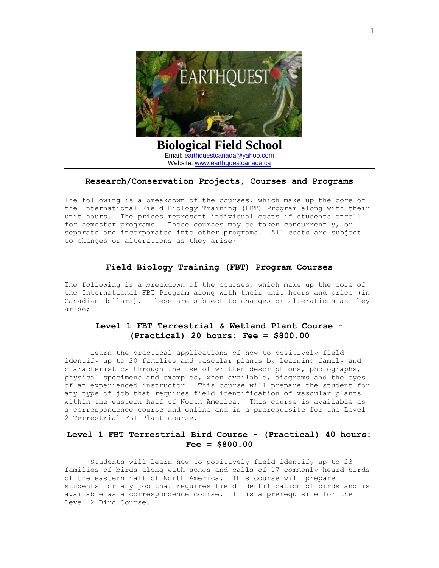

#### **Research/Conservation Projects, Courses and Programs**

The following is a breakdown of the courses, which make up the core of the International Field Biology Training (FBT) Program along with their unit hours. The prices represent individual costs if students enroll for semester programs. These courses may be taken concurrently, or separate and incorporated into other programs. All costs are subject to changes or alterations as they arise;

### **Field Biology Training (FBT) Program Courses**

The following is a breakdown of the courses, which make up the core of the International FBT Program along with their unit hours and price (in Canadian dollars). These are subject to changes or alterations as they arise;

# **Level 1 FBT Terrestrial & Wetland Plant Course - (Practical) 20 hours: Fee = \$800.00**

Learn the practical applications of how to positively field identify up to 20 families and vascular plants by learning family and characteristics through the use of written descriptions, photographs, physical specimens and examples, when available, diagrams and the eyes of an experienced instructor. This course will prepare the student for any type of job that requires field identification of vascular plants within the eastern half of North America. This course is available as a correspondence course and online and is a prerequisite for the Level 2 Terrestrial FBT Plant course.

### **Level 1 FBT Terrestrial Bird Course - (Practical) 40 hours: Fee = \$800.00**

Students will learn how to positively field identify up to 23 families of birds along with songs and calls of 17 commonly heard birds of the eastern half of North America. This course will prepare students for any job that requires field identification of birds and is available as a correspondence course. It is a prerequisite for the Level 2 Bird Course.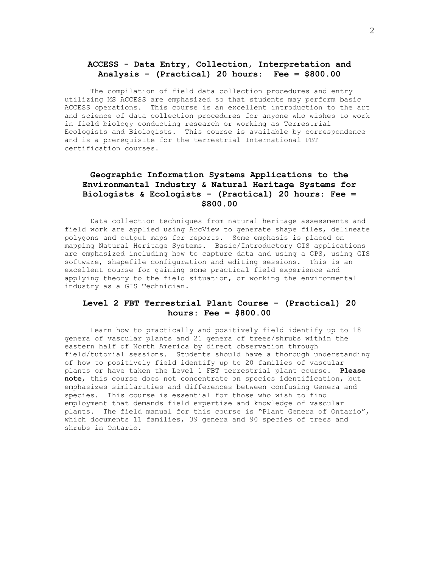### **ACCESS - Data Entry, Collection, Interpretation and Analysis - (Practical) 20 hours: Fee = \$800.00**

The compilation of field data collection procedures and entry utilizing MS ACCESS are emphasized so that students may perform basic ACCESS operations. This course is an excellent introduction to the art and science of data collection procedures for anyone who wishes to work in field biology conducting research or working as Terrestrial Ecologists and Biologists. This course is available by correspondence and is a prerequisite for the terrestrial International FBT certification courses.

# **Geographic Information Systems Applications to the Environmental Industry & Natural Heritage Systems for Biologists & Ecologists - (Practical) 20 hours: Fee = \$800.00**

Data collection techniques from natural heritage assessments and field work are applied using ArcView to generate shape files, delineate polygons and output maps for reports. Some emphasis is placed on mapping Natural Heritage Systems. Basic/Introductory GIS applications are emphasized including how to capture data and using a GPS, using GIS software, shapefile configuration and editing sessions. This is an excellent course for gaining some practical field experience and applying theory to the field situation, or working the environmental industry as a GIS Technician.

# **Level 2 FBT Terrestrial Plant Course - (Practical) 20 hours: Fee = \$800.00**

Learn how to practically and positively field identify up to 18 genera of vascular plants and 21 genera of trees/shrubs within the eastern half of North America by direct observation through field/tutorial sessions. Students should have a thorough understanding of how to positively field identify up to 20 families of vascular plants or have taken the Level 1 FBT terrestrial plant course. **Please note**, this course does not concentrate on species identification, but emphasizes similarities and differences between confusing Genera and species. This course is essential for those who wish to find employment that demands field expertise and knowledge of vascular plants. The field manual for this course is "Plant Genera of Ontario", which documents 11 families, 39 genera and 90 species of trees and shrubs in Ontario.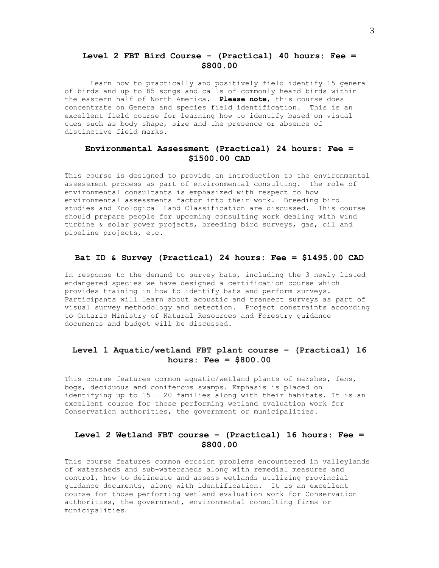### **Level 2 FBT Bird Course - (Practical) 40 hours: Fee = \$800.00**

Learn how to practically and positively field identify 15 genera of birds and up to 85 songs and calls of commonly heard birds within the eastern half of North America. **Please note**, this course does concentrate on Genera and species field identification. This is an excellent field course for learning how to identify based on visual cues such as body shape, size and the presence or absence of distinctive field marks.

# **Environmental Assessment (Practical) 24 hours: Fee = \$1500.00 CAD**

This course is designed to provide an introduction to the environmental assessment process as part of environmental consulting. The role of environmental consultants is emphasized with respect to how environmental assessments factor into their work. Breeding bird studies and Ecological Land Classification are discussed. This course should prepare people for upcoming consulting work dealing with wind turbine & solar power projects, breeding bird surveys, gas, oil and pipeline projects, etc.

#### **Bat ID & Survey (Practical) 24 hours: Fee = \$1495.00 CAD**

In response to the demand to survey bats, including the 3 newly listed endangered species we have designed a certification course which provides training in how to identify bats and perform surveys. Participants will learn about acoustic and transect surveys as part of visual survey methodology and detection. Project constraints according to Ontario Ministry of Natural Resources and Forestry guidance documents and budget will be discussed.

# **Level 1 Aquatic/wetland FBT plant course – (Practical) 16 hours: Fee = \$800.00**

This course features common aquatic/wetland plants of marshes, fens, bogs, deciduous and coniferous swamps. Emphasis is placed on identifying up to 15 – 20 families along with their habitats. It is an excellent course for those performing wetland evaluation work for Conservation authorities, the government or municipalities.

### **Level 2 Wetland FBT course – (Practical) 16 hours: Fee = \$800.00**

This course features common erosion problems encountered in valleylands of watersheds and sub-watersheds along with remedial measures and control, how to delineate and assess wetlands utilizing provincial guidance documents, along with identification. It is an excellent course for those performing wetland evaluation work for Conservation authorities, the government, environmental consulting firms or municipalities.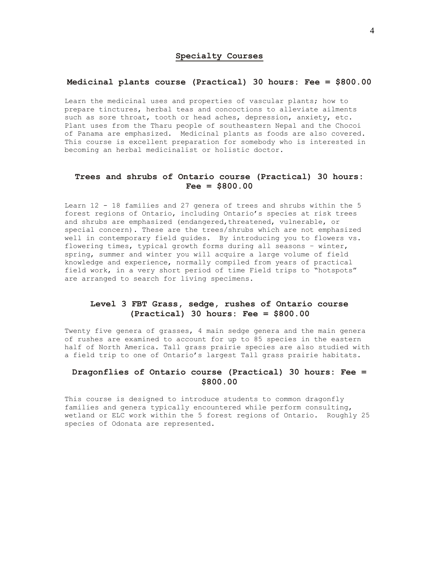#### **Specialty Courses**

#### **Medicinal plants course (Practical) 30 hours: Fee = \$800.00**

Learn the medicinal uses and properties of vascular plants; how to prepare tinctures, herbal teas and concoctions to alleviate ailments such as sore throat, tooth or head aches, depression, anxiety, etc. Plant uses from the Tharu people of southeastern Nepal and the Chocoi of Panama are emphasized. Medicinal plants as foods are also covered. This course is excellent preparation for somebody who is interested in becoming an herbal medicinalist or holistic doctor.

### **Trees and shrubs of Ontario course (Practical) 30 hours: Fee = \$800.00**

Learn 12 - 18 families and 27 genera of trees and shrubs within the 5 forest regions of Ontario, including Ontario's species at risk trees and shrubs are emphasized (endangered, threatened, vulnerable, or special concern). These are the trees/shrubs which are not emphasized well in contemporary field guides. By introducing you to flowers vs. flowering times, typical growth forms during all seasons – winter, spring, summer and winter you will acquire a large volume of field knowledge and experience, normally compiled from years of practical field work, in a very short period of time Field trips to "hotspots" are arranged to search for living specimens.

### **Level 3 FBT Grass, sedge, rushes of Ontario course (Practical) 30 hours: Fee = \$800.00**

Twenty five genera of grasses, 4 main sedge genera and the main genera of rushes are examined to account for up to 85 species in the eastern half of North America. Tall grass prairie species are also studied with a field trip to one of Ontario's largest Tall grass prairie habitats.

# **Dragonflies of Ontario course (Practical) 30 hours: Fee = \$800.00**

This course is designed to introduce students to common dragonfly families and genera typically encountered while perform consulting, wetland or ELC work within the 5 forest regions of Ontario. Roughly 25 species of Odonata are represented.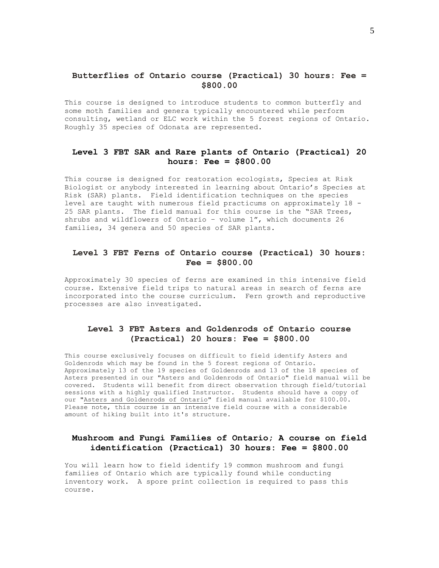## **Butterflies of Ontario course (Practical) 30 hours: Fee = \$800.00**

This course is designed to introduce students to common butterfly and some moth families and genera typically encountered while perform consulting, wetland or ELC work within the 5 forest regions of Ontario. Roughly 35 species of Odonata are represented.

# **Level 3 FBT SAR and Rare plants of Ontario (Practical) 20 hours: Fee = \$800.00**

This course is designed for restoration ecologists, Species at Risk Biologist or anybody interested in learning about Ontario's Species at Risk (SAR) plants. Field identification techniques on the species level are taught with numerous field practicums on approximately 18 - 25 SAR plants. The field manual for this course is the "SAR Trees, shrubs and wildflowers of Ontario – volume 1", which documents 26 families, 34 genera and 50 species of SAR plants.

## **Level 3 FBT Ferns of Ontario course (Practical) 30 hours: Fee = \$800.00**

Approximately 30 species of ferns are examined in this intensive field course. Extensive field trips to natural areas in search of ferns are incorporated into the course curriculum. Fern growth and reproductive processes are also investigated.

### **Level 3 FBT Asters and Goldenrods of Ontario course (Practical) 20 hours: Fee = \$800.00**

This course exclusively focuses on difficult to field identify Asters and Goldenrods which may be found in the 5 forest regions of Ontario. Approximately 13 of the 19 species of Goldenrods and 13 of the 18 species of Asters presented in our "Asters and Goldenrods of Ontario" field manual will be covered. Students will benefit from direct observation through field/tutorial sessions with a highly qualified Instructor. Students should have a copy of our "Asters and Goldenrods of Ontario" field manual available for \$100.00. Please note, this course is an intensive field course with a considerable amount of hiking built into it's structure.

# **Mushroom and Fungi Families of Ontario; A course on field identification (Practical) 30 hours: Fee = \$800.00**

You will learn how to field identify 19 common mushroom and fungi families of Ontario which are typically found while conducting inventory work. A spore print collection is required to pass this course.